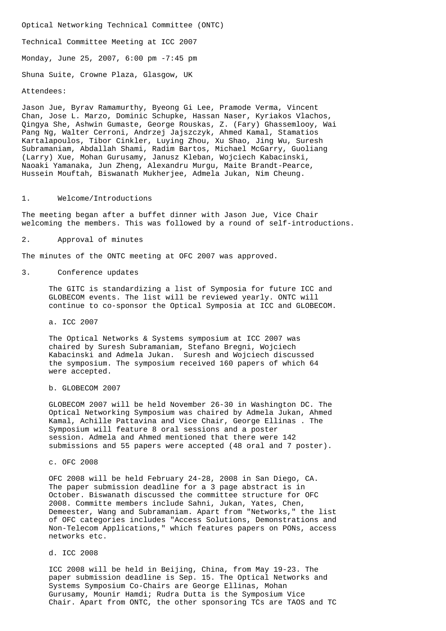Optical Networking Technical Committee (ONTC) Technical Committee Meeting at ICC 2007 Monday, June 25, 2007, 6:00 pm -7:45 pm Shuna Suite, Crowne Plaza, Glasgow, UK

## Attendees:

Jason Jue, Byrav Ramamurthy, Byeong Gi Lee, Pramode Verma, Vincent Chan, Jose L. Marzo, Dominic Schupke, Hassan Naser, Kyriakos Vlachos, Qingya She, Ashwin Gumaste, George Rouskas, Z. (Fary) Ghassemlooy, Wai Pang Ng, Walter Cerroni, Andrzej Jajszczyk, Ahmed Kamal, Stamatios Kartalapoulos, Tibor Cinkler, Luying Zhou, Xu Shao, Jing Wu, Suresh Subramaniam, Abdallah Shami, Radim Bartos, Michael McGarry, Guoliang (Larry) Xue, Mohan Gurusamy, Janusz Kleban, Wojciech Kabacinski, Naoaki Yamanaka, Jun Zheng, Alexandru Murgu, Maite Brandt-Pearce, Hussein Mouftah, Biswanath Mukherjee, Admela Jukan, Nim Cheung.

## 1. Welcome/Introductions

The meeting began after a buffet dinner with Jason Jue, Vice Chair welcoming the members. This was followed by a round of self-introductions.

## 2. Approval of minutes

The minutes of the ONTC meeting at OFC 2007 was approved.

#### 3. Conference updates

 The GITC is standardizing a list of Symposia for future ICC and GLOBECOM events. The list will be reviewed yearly. ONTC will continue to co-sponsor the Optical Symposia at ICC and GLOBECOM.

# a. ICC 2007

 The Optical Networks & Systems symposium at ICC 2007 was chaired by Suresh Subramaniam, Stefano Bregni, Wojciech Kabacinski and Admela Jukan. Suresh and Wojciech discussed the symposium. The symposium received 160 papers of which 64 were accepted.

## b. GLOBECOM 2007

 GLOBECOM 2007 will be held November 26-30 in Washington DC. The Optical Networking Symposium was chaired by Admela Jukan, Ahmed Kamal, Achille Pattavina and Vice Chair, George Ellinas . The Symposium will feature 8 oral sessions and a poster session. Admela and Ahmed mentioned that there were 142 submissions and 55 papers were accepted (48 oral and 7 poster).

# c. OFC 2008

 OFC 2008 will be held February 24-28, 2008 in San Diego, CA. The paper submission deadline for a 3 page abstract is in October. Biswanath discussed the committee structure for OFC 2008. Committe members include Sahni, Jukan, Yates, Chen, Demeester, Wang and Subramaniam. Apart from "Networks," the list of OFC categories includes "Access Solutions, Demonstrations and Non-Telecom Applications," which features papers on PONs, access networks etc.

# d. ICC 2008

 ICC 2008 will be held in Beijing, China, from May 19-23. The paper submission deadline is Sep. 15. The Optical Networks and Systems Symposium Co-Chairs are George Ellinas, Mohan Gurusamy, Mounir Hamdi; Rudra Dutta is the Symposium Vice Chair. Apart from ONTC, the other sponsoring TCs are TAOS and TC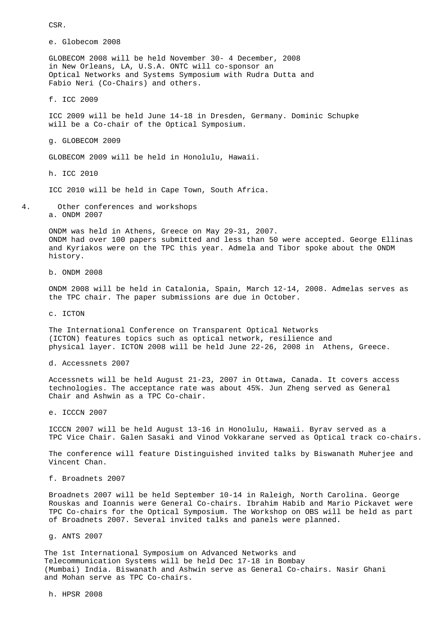CSR.

e. Globecom 2008

 GLOBECOM 2008 will be held November 30- 4 December, 2008 in New Orleans, LA, U.S.A. ONTC will co-sponsor an Optical Networks and Systems Symposium with Rudra Dutta and Fabio Neri (Co-Chairs) and others.

f. ICC 2009

 ICC 2009 will be held June 14-18 in Dresden, Germany. Dominic Schupke will be a Co-chair of the Optical Symposium.

g. GLOBECOM 2009

GLOBECOM 2009 will be held in Honolulu, Hawaii.

h. ICC 2010

ICC 2010 will be held in Cape Town, South Africa.

4. Other conferences and workshops a. ONDM 2007

> ONDM was held in Athens, Greece on May 29-31, 2007. ONDM had over 100 papers submitted and less than 50 were accepted. George Ellinas and Kyriakos were on the TPC this year. Admela and Tibor spoke about the ONDM history.

b. ONDM 2008

 ONDM 2008 will be held in Catalonia, Spain, March 12-14, 2008. Admelas serves as the TPC chair. The paper submissions are due in October.

c. ICTON

 The International Conference on Transparent Optical Networks (ICTON) features topics such as optical network, resilience and physical layer. ICTON 2008 will be held June 22-26, 2008 in Athens, Greece.

d. Accessnets 2007

 Accessnets will be held August 21-23, 2007 in Ottawa, Canada. It covers access technologies. The acceptance rate was about 45%. Jun Zheng served as General Chair and Ashwin as a TPC Co-chair.

e. ICCCN 2007

 ICCCN 2007 will be held August 13-16 in Honolulu, Hawaii. Byrav served as a TPC Vice Chair. Galen Sasaki and Vinod Vokkarane served as Optical track co-chairs.

 The conference will feature Distinguished invited talks by Biswanath Muherjee and Vincent Chan.

f. Broadnets 2007

 Broadnets 2007 will be held September 10-14 in Raleigh, North Carolina. George Rouskas and Ioannis were General Co-chairs. Ibrahim Habib and Mario Pickavet were TPC Co-chairs for the Optical Symposium. The Workshop on OBS will be held as part of Broadnets 2007. Several invited talks and panels were planned.

g. ANTS 2007

 The 1st International Symposium on Advanced Networks and Telecommunication Systems will be held Dec 17-18 in Bombay (Mumbai) India. Biswanath and Ashwin serve as General Co-chairs. Nasir Ghani and Mohan serve as TPC Co-chairs.

h. HPSR 2008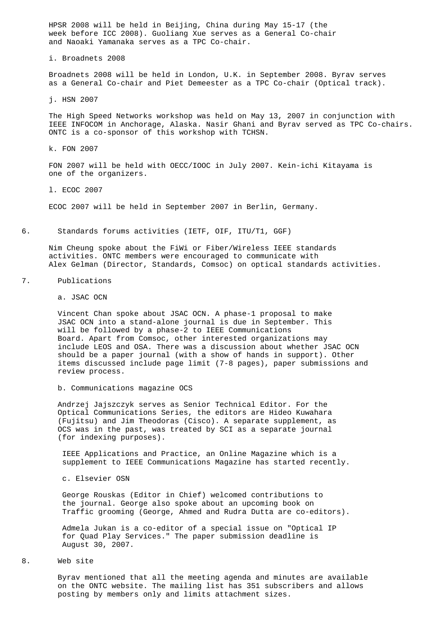HPSR 2008 will be held in Beijing, China during May 15-17 (the week before ICC 2008). Guoliang Xue serves as a General Co-chair and Naoaki Yamanaka serves as a TPC Co-chair.

i. Broadnets 2008

 Broadnets 2008 will be held in London, U.K. in September 2008. Byrav serves as a General Co-chair and Piet Demeester as a TPC Co-chair (Optical track).

j. HSN 2007

 The High Speed Networks workshop was held on May 13, 2007 in conjunction with IEEE INFOCOM in Anchorage, Alaska. Nasir Ghani and Byrav served as TPC Co-chairs. ONTC is a co-sponsor of this workshop with TCHSN.

k. FON 2007

 FON 2007 will be held with OECC/IOOC in July 2007. Kein-ichi Kitayama is one of the organizers.

l. ECOC 2007

ECOC 2007 will be held in September 2007 in Berlin, Germany.

6. Standards forums activities (IETF, OIF, ITU/T1, GGF)

 Nim Cheung spoke about the FiWi or Fiber/Wireless IEEE standards activities. ONTC members were encouraged to communicate with Alex Gelman (Director, Standards, Comsoc) on optical standards activities.

7. Publications

a. JSAC OCN

 Vincent Chan spoke about JSAC OCN. A phase-1 proposal to make JSAC OCN into a stand-alone journal is due in September. This will be followed by a phase-2 to IEEE Communications Board. Apart from Comsoc, other interested organizations may include LEOS and OSA. There was a discussion about whether JSAC OCN should be a paper journal (with a show of hands in support). Other items discussed include page limit (7-8 pages), paper submissions and review process.

b. Communications magazine OCS

 Andrzej Jajszczyk serves as Senior Technical Editor. For the Optical Communications Series, the editors are Hideo Kuwahara (Fujitsu) and Jim Theodoras (Cisco). A separate supplement, as OCS was in the past, was treated by SCI as a separate journal (for indexing purposes).

 IEEE Applications and Practice, an Online Magazine which is a supplement to IEEE Communications Magazine has started recently.

c. Elsevier OSN

 George Rouskas (Editor in Chief) welcomed contributions to the journal. George also spoke about an upcoming book on Traffic grooming (George, Ahmed and Rudra Dutta are co-editors).

 Admela Jukan is a co-editor of a special issue on "Optical IP for Quad Play Services." The paper submission deadline is August 30, 2007.

8. Web site

 Byrav mentioned that all the meeting agenda and minutes are available on the ONTC website. The mailing list has 351 subscribers and allows posting by members only and limits attachment sizes.